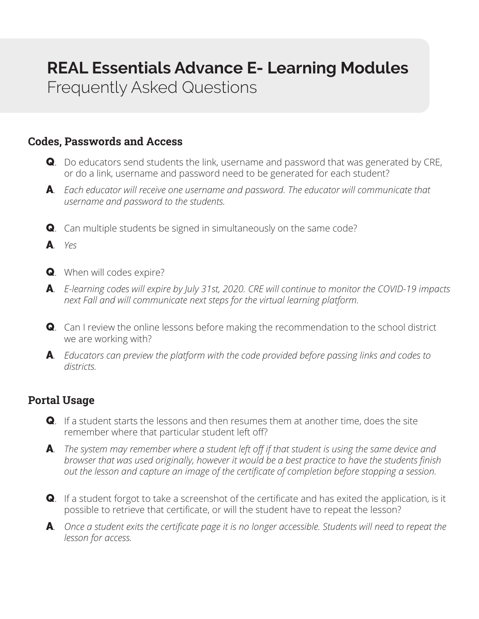## **REAL Essentials Advance E- Learning Modules**

Frequently Asked Questions

## **Codes, Passwords and Access**

- Q. Do educators send students the link, username and password that was generated by CRE, or do a link, username and password need to be generated for each student?
- A*. Each educator will receive one username and password. The educator will communicate that username and password to the students.*
- **Q**. Can multiple students be signed in simultaneously on the same code?
- A*. Yes*
- Q. When will codes expire?
- A*. E-learning codes will expire by July 31st, 2020. CRE will continue to monitor the COVID-19 impacts next Fall and will communicate next steps for the virtual learning platform.*
- Q. Can I review the online lessons before making the recommendation to the school district we are working with?
- A*. Educators can preview the platform with the code provided before passing links and codes to districts.*

## **Portal Usage**

- **Q**. If a student starts the lessons and then resumes them at another time, does the site remember where that particular student left off?
- A*. The system may remember where a student left off if that student is using the same device and browser that was used originally, however it would be a best practice to have the students finish out the lesson and capture an image of the certificate of completion before stopping a session.*
- Q. If a student forgot to take a screenshot of the certificate and has exited the application, is it possible to retrieve that certificate, or will the student have to repeat the lesson?
- A. Once a student exits the certificate page it is no longer accessible. Students will need to repeat the *lesson for access.*